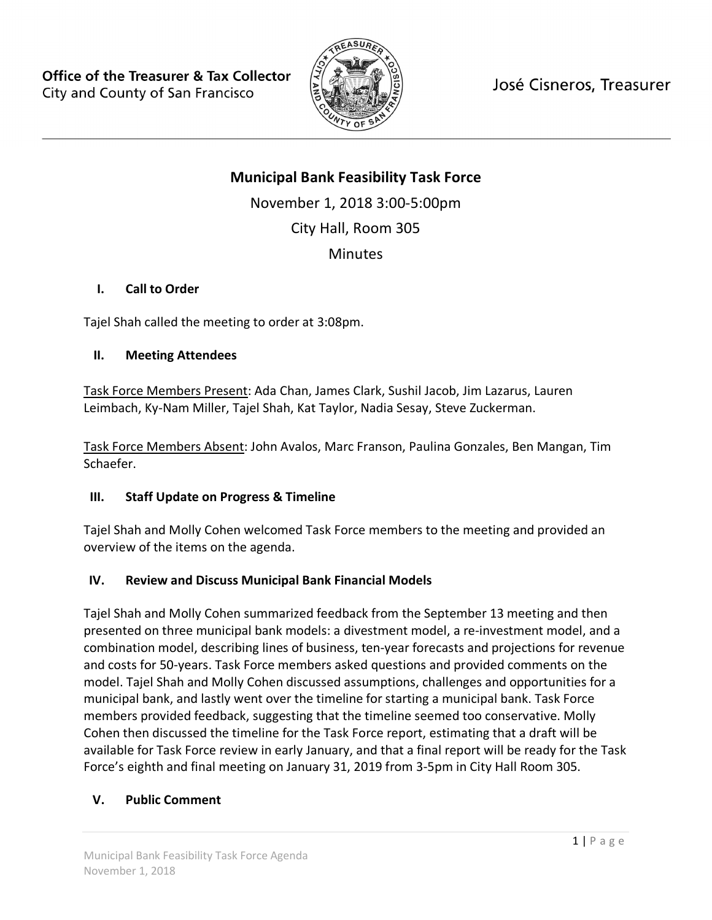

José Cisneros, Treasurer

# **Municipal Bank Feasibility Task Force**

November 1, 2018 3:00-5:00pm

City Hall, Room 305

**Minutes** 

### **I. Call to Order**

Tajel Shah called the meeting to order at 3:08pm.

### **II. Meeting Attendees**

Task Force Members Present: Ada Chan, James Clark, Sushil Jacob, Jim Lazarus, Lauren Leimbach, Ky-Nam Miller, Tajel Shah, Kat Taylor, Nadia Sesay, Steve Zuckerman.

Task Force Members Absent: John Avalos, Marc Franson, Paulina Gonzales, Ben Mangan, Tim Schaefer.

## **III. Staff Update on Progress & Timeline**

Tajel Shah and Molly Cohen welcomed Task Force members to the meeting and provided an overview of the items on the agenda.

## **IV. Review and Discuss Municipal Bank Financial Models**

Tajel Shah and Molly Cohen summarized feedback from the September 13 meeting and then presented on three municipal bank models: a divestment model, a re-investment model, and a combination model, describing lines of business, ten-year forecasts and projections for revenue and costs for 50-years. Task Force members asked questions and provided comments on the model. Tajel Shah and Molly Cohen discussed assumptions, challenges and opportunities for a municipal bank, and lastly went over the timeline for starting a municipal bank. Task Force members provided feedback, suggesting that the timeline seemed too conservative. Molly Cohen then discussed the timeline for the Task Force report, estimating that a draft will be available for Task Force review in early January, and that a final report will be ready for the Task Force's eighth and final meeting on January 31, 2019 from 3-5pm in City Hall Room 305.

### **V. Public Comment**